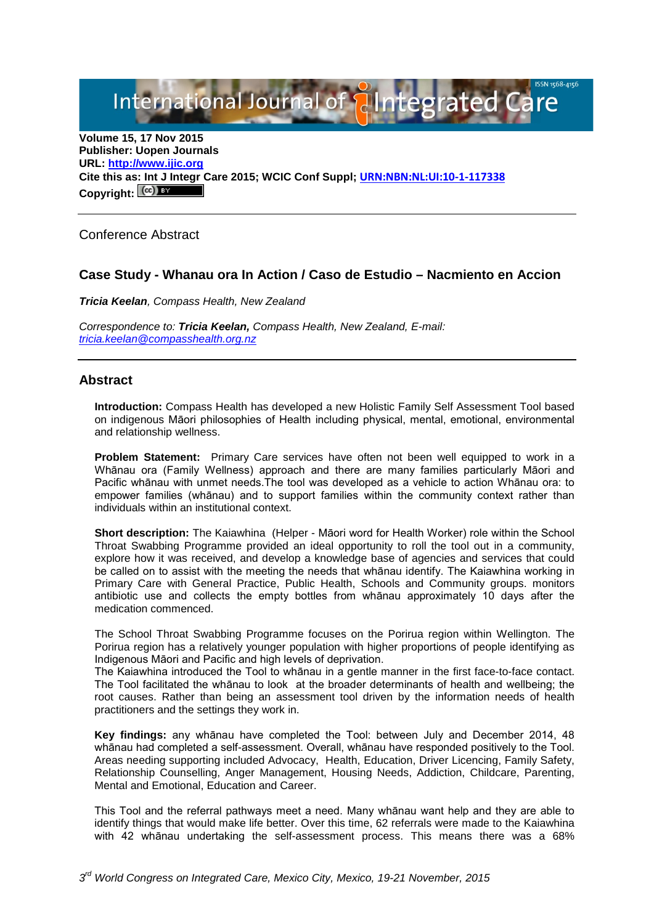International Journal of **Plantegrated Care** 

**Volume 15, 17 Nov 2015 Publisher: Uopen Journals URL: [http://www.ijic.org](http://www.ijic.org/) Cite this as: Int J Integr Care 2015; WCIC Conf Suppl; [URN:NBN:NL:UI:10-1-117338](http://persistent-identifier.nl/?identifier=URN:NBN:NL:UI:10-1-117338)** Copyright:  $(cc)$ 

Conference Abstract

### **Case Study - Whanau ora In Action / Caso de Estudio – Nacmiento en Accion**

*Tricia Keelan, Compass Health, New Zealand*

*Correspondence to: Tricia Keelan, Compass Health, New Zealand, E-mail: [tricia.keelan@compasshealth.org.nz](mailto:tricia.keelan@compasshealth.org.nz)*

### **Abstract**

**Introduction:** Compass Health has developed a new Holistic Family Self Assessment Tool based on indigenous Māori philosophies of Health including physical, mental, emotional, environmental and relationship wellness.

**Problem Statement:** Primary Care services have often not been well equipped to work in a Whānau ora (Family Wellness) approach and there are many families particularly Māori and Pacific whānau with unmet needs.The tool was developed as a vehicle to action Whānau ora: to empower families (whānau) and to support families within the community context rather than individuals within an institutional context.

**Short description:** The Kaiawhina (Helper - Māori word for Health Worker) role within the School Throat Swabbing Programme provided an ideal opportunity to roll the tool out in a community, explore how it was received, and develop a knowledge base of agencies and services that could be called on to assist with the meeting the needs that whānau identify. The Kaiawhina working in Primary Care with General Practice, Public Health, Schools and Community groups. monitors antibiotic use and collects the empty bottles from whānau approximately 10 days after the medication commenced.

The School Throat Swabbing Programme focuses on the Porirua region within Wellington. The Porirua region has a relatively younger population with higher proportions of people identifying as Indigenous Māori and Pacific and high levels of deprivation.

The Kaiawhina introduced the Tool to whānau in a gentle manner in the first face-to-face contact. The Tool facilitated the whānau to look at the broader determinants of health and wellbeing; the root causes. Rather than being an assessment tool driven by the information needs of health practitioners and the settings they work in.

**Key findings:** any whānau have completed the Tool: between July and December 2014, 48 whānau had completed a self-assessment. Overall, whānau have responded positively to the Tool. Areas needing supporting included Advocacy, Health, Education, Driver Licencing, Family Safety, Relationship Counselling, Anger Management, Housing Needs, Addiction, Childcare, Parenting, Mental and Emotional, Education and Career.

This Tool and the referral pathways meet a need. Many whānau want help and they are able to identify things that would make life better. Over this time, 62 referrals were made to the Kaiawhina with 42 whānau undertaking the self-assessment process. This means there was a 68%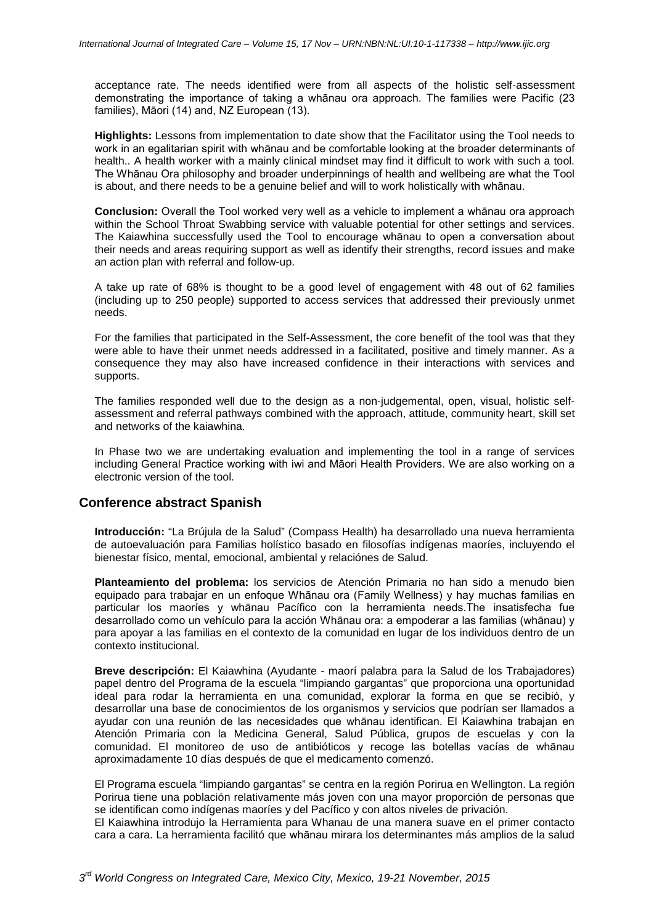acceptance rate. The needs identified were from all aspects of the holistic self-assessment demonstrating the importance of taking a whānau ora approach. The families were Pacific (23 families), Māori (14) and, NZ European (13).

**Highlights:** Lessons from implementation to date show that the Facilitator using the Tool needs to work in an egalitarian spirit with whānau and be comfortable looking at the broader determinants of health.. A health worker with a mainly clinical mindset may find it difficult to work with such a tool. The Whānau Ora philosophy and broader underpinnings of health and wellbeing are what the Tool is about, and there needs to be a genuine belief and will to work holistically with whānau.

**Conclusion:** Overall the Tool worked very well as a vehicle to implement a whānau ora approach within the School Throat Swabbing service with valuable potential for other settings and services. The Kaiawhina successfully used the Tool to encourage whānau to open a conversation about their needs and areas requiring support as well as identify their strengths, record issues and make an action plan with referral and follow-up.

A take up rate of 68% is thought to be a good level of engagement with 48 out of 62 families (including up to 250 people) supported to access services that addressed their previously unmet needs.

For the families that participated in the Self-Assessment, the core benefit of the tool was that they were able to have their unmet needs addressed in a facilitated, positive and timely manner. As a consequence they may also have increased confidence in their interactions with services and supports.

The families responded well due to the design as a non-judgemental, open, visual, holistic selfassessment and referral pathways combined with the approach, attitude, community heart, skill set and networks of the kaiawhina.

In Phase two we are undertaking evaluation and implementing the tool in a range of services including General Practice working with iwi and Māori Health Providers. We are also working on a electronic version of the tool.

# **Conference abstract Spanish**

**Introducción:** "La Brújula de la Salud" (Compass Health) ha desarrollado una nueva herramienta de autoevaluación para Familias holístico basado en filosofías indígenas maoríes, incluyendo el bienestar físico, mental, emocional, ambiental y relaciónes de Salud.

**Planteamiento del problema:** los servicios de Atención Primaria no han sido a menudo bien equipado para trabajar en un enfoque Whānau ora (Family Wellness) y hay muchas familias en particular los maoríes y whānau Pacífico con la herramienta needs.The insatisfecha fue desarrollado como un vehículo para la acción Whānau ora: a empoderar a las familias (whānau) y para apoyar a las familias en el contexto de la comunidad en lugar de los individuos dentro de un contexto institucional.

**Breve descripción:** El Kaiawhina (Ayudante - maorí palabra para la Salud de los Trabajadores) papel dentro del Programa de la escuela "limpiando gargantas" que proporciona una oportunidad ideal para rodar la herramienta en una comunidad, explorar la forma en que se recibió, y desarrollar una base de conocimientos de los organismos y servicios que podrían ser llamados a ayudar con una reunión de las necesidades que whānau identifican. El Kaiawhina trabajan en Atención Primaria con la Medicina General, Salud Pública, grupos de escuelas y con la comunidad. El monitoreo de uso de antibióticos y recoge las botellas vacías de whānau aproximadamente 10 días después de que el medicamento comenzó.

El Programa escuela "limpiando gargantas" se centra en la región Porirua en Wellington. La región Porirua tiene una población relativamente más joven con una mayor proporción de personas que se identifican como indígenas maoríes y del Pacífico y con altos niveles de privación.

El Kaiawhina introdujo la Herramienta para Whanau de una manera suave en el primer contacto cara a cara. La herramienta facilitó que whānau mirara los determinantes más amplios de la salud